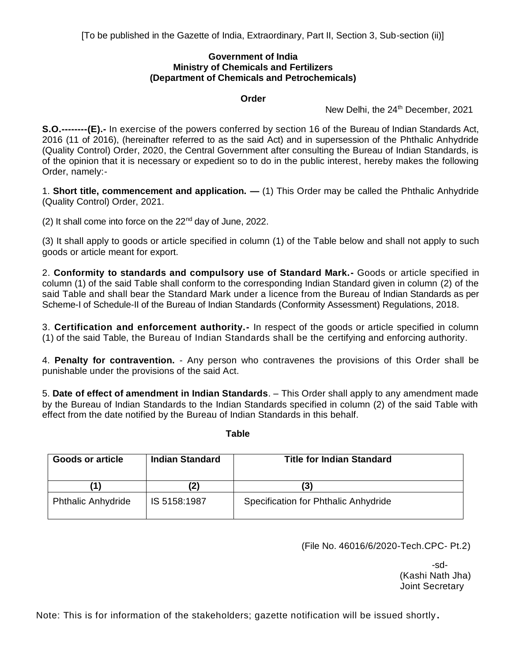## **Government of India Ministry of Chemicals and Fertilizers (Department of Chemicals and Petrochemicals)**

# **Order**

New Delhi, the 24<sup>th</sup> December, 2021

**S.O.--------(E).-** In exercise of the powers conferred by section 16 of the Bureau of Indian Standards Act, 2016 (11 of 2016), (hereinafter referred to as the said Act) and in supersession of the Phthalic Anhydride (Quality Control) Order, 2020, the Central Government after consulting the Bureau of Indian Standards, is of the opinion that it is necessary or expedient so to do in the public interest, hereby makes the following Order, namely:-

1. **Short title, commencement and application. —** (1) This Order may be called the Phthalic Anhydride (Quality Control) Order, 2021.

(2) It shall come into force on the  $22<sup>nd</sup>$  day of June, 2022.

(3) It shall apply to goods or article specified in column (1) of the Table below and shall not apply to such goods or article meant for export.

2. **Conformity to standards and compulsory use of Standard Mark.-** Goods or article specified in column (1) of the said Table shall conform to the corresponding Indian Standard given in column (2) of the said Table and shall bear the Standard Mark under a licence from the Bureau of Indian Standards as per Scheme-I of Schedule-II of the Bureau of Indian Standards (Conformity Assessment) Regulations, 2018.

3. **Certification and enforcement authority.-** In respect of the goods or article specified in column (1) of the said Table, the Bureau of Indian Standards shall be the certifying and enforcing authority.

4. **Penalty for contravention.** - Any person who contravenes the provisions of this Order shall be punishable under the provisions of the said Act.

5. **Date of effect of amendment in Indian Standards**. – This Order shall apply to any amendment made by the Bureau of Indian Standards to the Indian Standards specified in column (2) of the said Table with effect from the date notified by the Bureau of Indian Standards in this behalf.

**Table**

| Goods or article          | <b>Indian Standard</b> | <b>Title for Indian Standard</b>     |
|---------------------------|------------------------|--------------------------------------|
|                           |                        | (3)                                  |
| <b>Phthalic Anhydride</b> | IS 5158:1987           | Specification for Phthalic Anhydride |

(File No. 46016/6/2020-Tech.CPC- Pt.2)

-sd- (Kashi Nath Jha) Joint Secretary

Note: This is for information of the stakeholders; gazette notification will be issued shortly **.**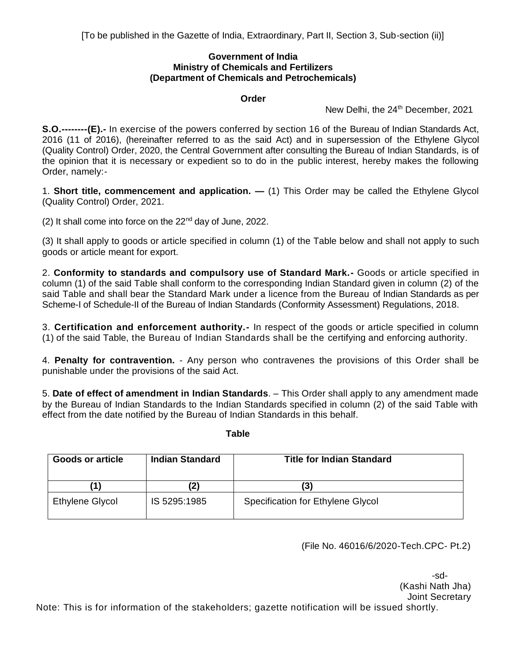# **Government of India Ministry of Chemicals and Fertilizers (Department of Chemicals and Petrochemicals)**

# **Order**

New Delhi, the 24<sup>th</sup> December, 2021

**S.O.--------(E).-** In exercise of the powers conferred by section 16 of the Bureau of Indian Standards Act, 2016 (11 of 2016), (hereinafter referred to as the said Act) and in supersession of the Ethylene Glycol (Quality Control) Order, 2020, the Central Government after consulting the Bureau of Indian Standards, is of the opinion that it is necessary or expedient so to do in the public interest, hereby makes the following Order, namely:-

1. **Short title, commencement and application. —** (1) This Order may be called the Ethylene Glycol (Quality Control) Order, 2021.

(2) It shall come into force on the  $22<sup>nd</sup>$  day of June, 2022.

(3) It shall apply to goods or article specified in column (1) of the Table below and shall not apply to such goods or article meant for export.

2. **Conformity to standards and compulsory use of Standard Mark.-** Goods or article specified in column (1) of the said Table shall conform to the corresponding Indian Standard given in column (2) of the said Table and shall bear the Standard Mark under a licence from the Bureau of Indian Standards as per Scheme-I of Schedule-II of the Bureau of Indian Standards (Conformity Assessment) Regulations, 2018.

3. **Certification and enforcement authority.-** In respect of the goods or article specified in column (1) of the said Table, the Bureau of Indian Standards shall be the certifying and enforcing authority.

4. **Penalty for contravention.** - Any person who contravenes the provisions of this Order shall be punishable under the provisions of the said Act.

5. **Date of effect of amendment in Indian Standards**. – This Order shall apply to any amendment made by the Bureau of Indian Standards to the Indian Standards specified in column (2) of the said Table with effect from the date notified by the Bureau of Indian Standards in this behalf.

**Table**

| Goods or article | <b>Indian Standard</b> | <b>Title for Indian Standard</b>  |
|------------------|------------------------|-----------------------------------|
| '1)              |                        | (3)                               |
| Ethylene Glycol  | IS 5295:1985           | Specification for Ethylene Glycol |

(File No. 46016/6/2020-Tech.CPC- Pt.2)

-sd- (Kashi Nath Jha) Joint Secretary Note: This is for information of the stakeholders; gazette notification will be issued shortly.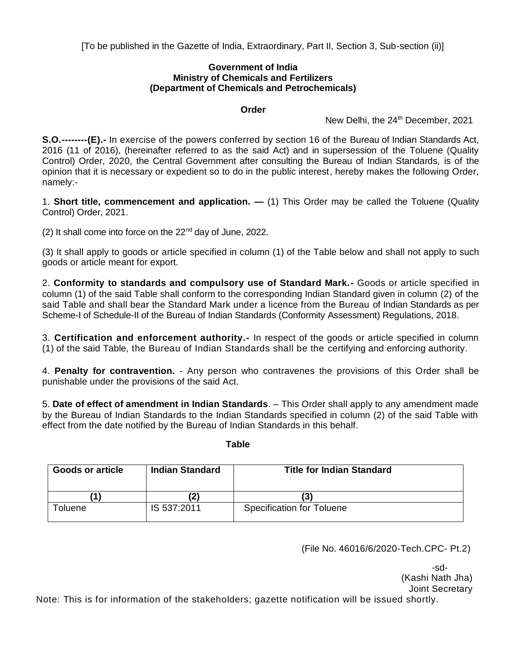[To be published in the Gazette of India, Extraordinary, Part II, Section 3, Sub-section (ii)]

# **Government of India Ministry of Chemicals and Fertilizers (Department of Chemicals and Petrochemicals)**

# **Order**

New Delhi, the 24<sup>th</sup> December, 2021

**S.O.--------(E).-** In exercise of the powers conferred by section 16 of the Bureau of Indian Standards Act, 2016 (11 of 2016), (hereinafter referred to as the said Act) and in supersession of the Toluene (Quality Control) Order, 2020, the Central Government after consulting the Bureau of Indian Standards, is of the opinion that it is necessary or expedient so to do in the public interest, hereby makes the following Order, namely:-

1. **Short title, commencement and application. —** (1) This Order may be called the Toluene (Quality Control) Order, 2021.

(2) It shall come into force on the  $22<sup>nd</sup>$  day of June, 2022.

(3) It shall apply to goods or article specified in column (1) of the Table below and shall not apply to such goods or article meant for export.

2. **Conformity to standards and compulsory use of Standard Mark.-** Goods or article specified in column (1) of the said Table shall conform to the corresponding Indian Standard given in column (2) of the said Table and shall bear the Standard Mark under a licence from the Bureau of Indian Standards as per Scheme-I of Schedule-II of the Bureau of Indian Standards (Conformity Assessment) Regulations, 2018.

3. **Certification and enforcement authority.-** In respect of the goods or article specified in column (1) of the said Table, the Bureau of Indian Standards shall be the certifying and enforcing authority.

4. **Penalty for contravention.** - Any person who contravenes the provisions of this Order shall be punishable under the provisions of the said Act.

5. **Date of effect of amendment in Indian Standards**. – This Order shall apply to any amendment made by the Bureau of Indian Standards to the Indian Standards specified in column (2) of the said Table with effect from the date notified by the Bureau of Indian Standards in this behalf.

#### **Table**

| <b>Goods or article</b> | Indian Standard | <b>Title for Indian Standard</b> |
|-------------------------|-----------------|----------------------------------|
|                         |                 | (3                               |
| oluene                  | IS 537:2011     | <b>Specification for Toluene</b> |

(File No. 46016/6/2020-Tech.CPC- Pt.2)

-sd- (Kashi Nath Jha) Joint Secretary

Note: This is for information of the stakeholders; gazette notification will be issued shortly.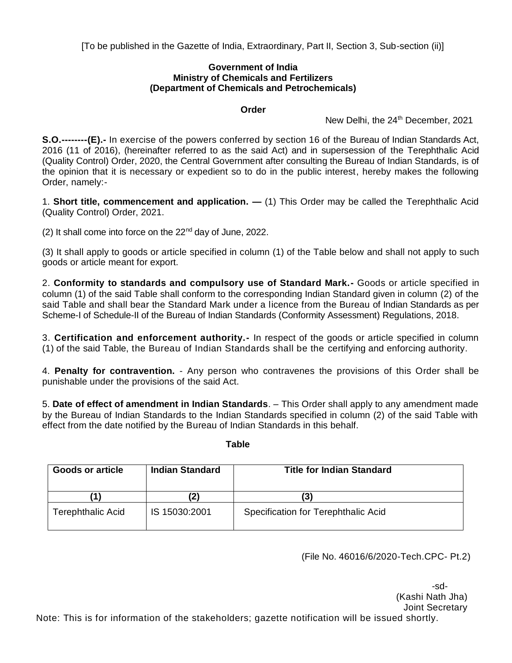[To be published in the Gazette of India, Extraordinary, Part II, Section 3, Sub-section (ii)]

# **Government of India Ministry of Chemicals and Fertilizers (Department of Chemicals and Petrochemicals)**

# **Order**

New Delhi, the 24<sup>th</sup> December, 2021

**S.O.--------(E).-** In exercise of the powers conferred by section 16 of the Bureau of Indian Standards Act, 2016 (11 of 2016), (hereinafter referred to as the said Act) and in supersession of the Terephthalic Acid (Quality Control) Order, 2020, the Central Government after consulting the Bureau of Indian Standards, is of the opinion that it is necessary or expedient so to do in the public interest, hereby makes the following Order, namely:-

1. **Short title, commencement and application. —** (1) This Order may be called the Terephthalic Acid (Quality Control) Order, 2021.

(2) It shall come into force on the  $22<sup>nd</sup>$  day of June, 2022.

(3) It shall apply to goods or article specified in column (1) of the Table below and shall not apply to such goods or article meant for export.

2. **Conformity to standards and compulsory use of Standard Mark.-** Goods or article specified in column (1) of the said Table shall conform to the corresponding Indian Standard given in column (2) of the said Table and shall bear the Standard Mark under a licence from the Bureau of Indian Standards as per Scheme-I of Schedule-II of the Bureau of Indian Standards (Conformity Assessment) Regulations, 2018.

3. **Certification and enforcement authority.-** In respect of the goods or article specified in column (1) of the said Table, the Bureau of Indian Standards shall be the certifying and enforcing authority.

4. **Penalty for contravention.** - Any person who contravenes the provisions of this Order shall be punishable under the provisions of the said Act.

5. **Date of effect of amendment in Indian Standards**. – This Order shall apply to any amendment made by the Bureau of Indian Standards to the Indian Standards specified in column (2) of the said Table with effect from the date notified by the Bureau of Indian Standards in this behalf.

#### **Table**

| <b>Goods or article</b>  | <b>Indian Standard</b> | <b>Title for Indian Standard</b>    |
|--------------------------|------------------------|-------------------------------------|
|                          | $\mathbf{2}$           | (3)                                 |
| <b>Terephthalic Acid</b> | IS 15030:2001          | Specification for Terephthalic Acid |

(File No. 46016/6/2020-Tech.CPC- Pt.2)

-sd- (Kashi Nath Jha) Joint Secretary Note: This is for information of the stakeholders; gazette notification will be issued shortly.